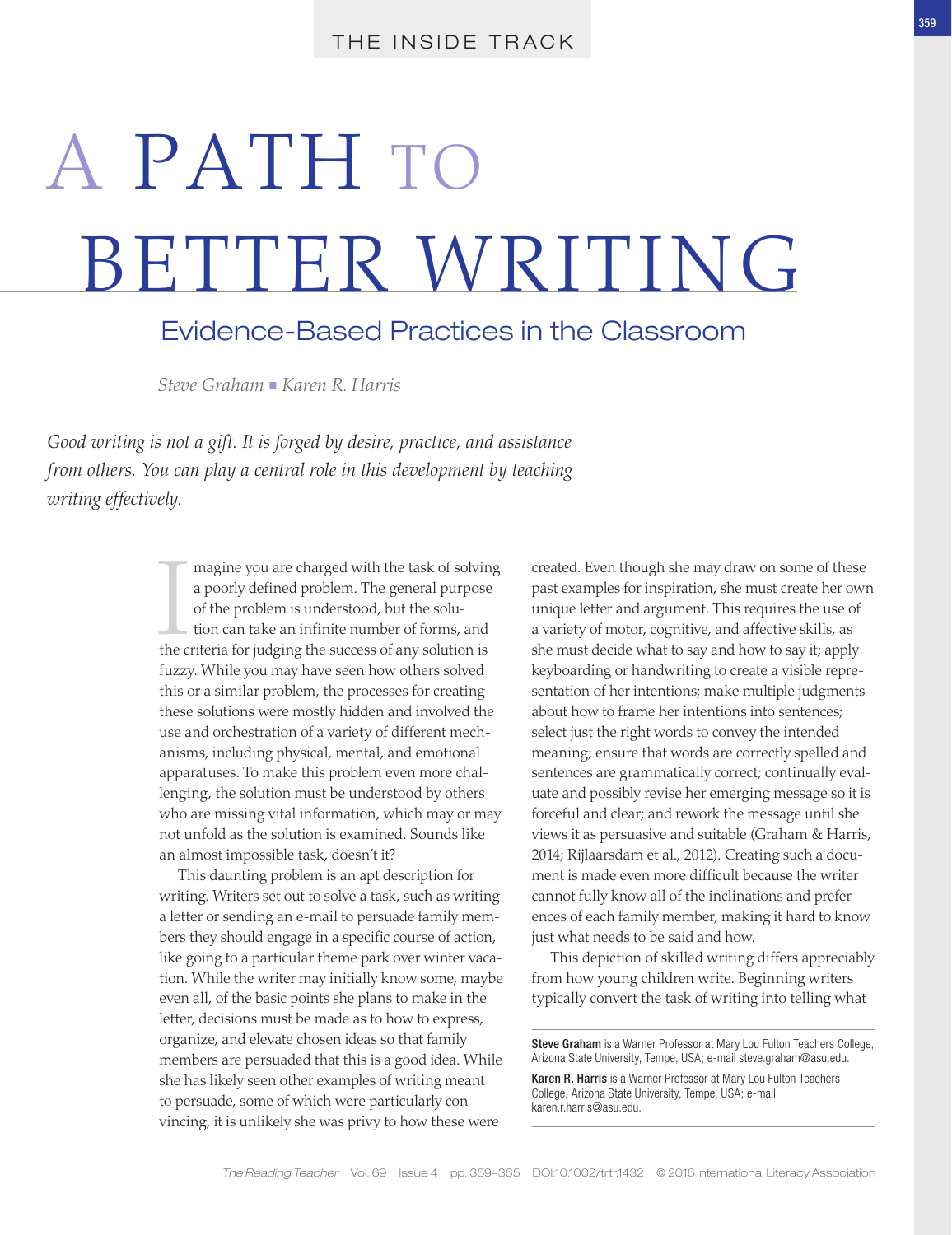# A PATH TO BETTER WRITING

## Evidence-Based Practices in the Classroom

*Steve Graham • Karen R. Harris* 

*Good writing is not a gift. It is forged by desire, practice, and assistance from others. You can play a central role in this development by teaching writing effectively.*

> magine you are charged with the task of solvin<br>a poorly defined problem. The general purpose<br>of the problem is understood, but the solu-<br>tion can take an infinite number of forms, and<br>the criteria for judging the success o magine you are charged with the task of solving a poorly defined problem. The general purpose of the problem is understood, but the solution can take an infinite number of forms, and fuzzy. While you may have seen how others solved this or a similar problem, the processes for creating these solutions were mostly hidden and involved the use and orchestration of a variety of different mechanisms, including physical, mental, and emotional apparatuses. To make this problem even more challenging, the solution must be understood by others who are missing vital information, which may or may not unfold as the solution is examined. Sounds like an almost impossible task, doesn't it?

> This daunting problem is an apt description for writing. Writers set out to solve a task, such as writing a letter or sending an e-mail to persuade family members they should engage in a specific course of action, like going to a particular theme park over winter vacation. While the writer may initially know some, maybe even all, of the basic points she plans to make in the letter, decisions must be made as to how to express, organize, and elevate chosen ideas so that family members are persuaded that this is a good idea. While she has likely seen other examples of writing meant to persuade, some of which were particularly convincing, it is unlikely she was privy to how these were

created. Even though she may draw on some of these past examples for inspiration, she must create her own unique letter and argument. This requires the use of a variety of motor, cognitive, and affective skills, as she must decide what to say and how to say it; apply keyboarding or handwriting to create a visible representation of her intentions; make multiple judgments about how to frame her intentions into sentences; select just the right words to convey the intended meaning; ensure that words are correctly spelled and sentences are grammatically correct; continually evaluate and possibly revise her emerging message so it is forceful and clear; and rework the message until she views it as persuasive and suitable (Graham & Harris, 2014; Rijlaarsdam et al., 2012). Creating such a document is made even more difficult because the writer cannot fully know all of the inclinations and preferences of each family member, making it hard to know just what needs to be said and how.

This depiction of skilled writing differs appreciably from how young children write. Beginning writers typically convert the task of writing into telling what

Steve Graham is a Warner Professor at Mary Lou Fulton Teachers College, Arizona State University, Tempe, USA; e-mail [steve.graham@asu.edu.](mailto:steve.graham@asu.edu)

Karen R. Harris is a Warner Professor at Mary Lou Fulton Teachers College, Arizona State University, Tempe, USA; e-mail [karen.r.harris@asu.edu.](mailto:karen.r.harris@asu.edu)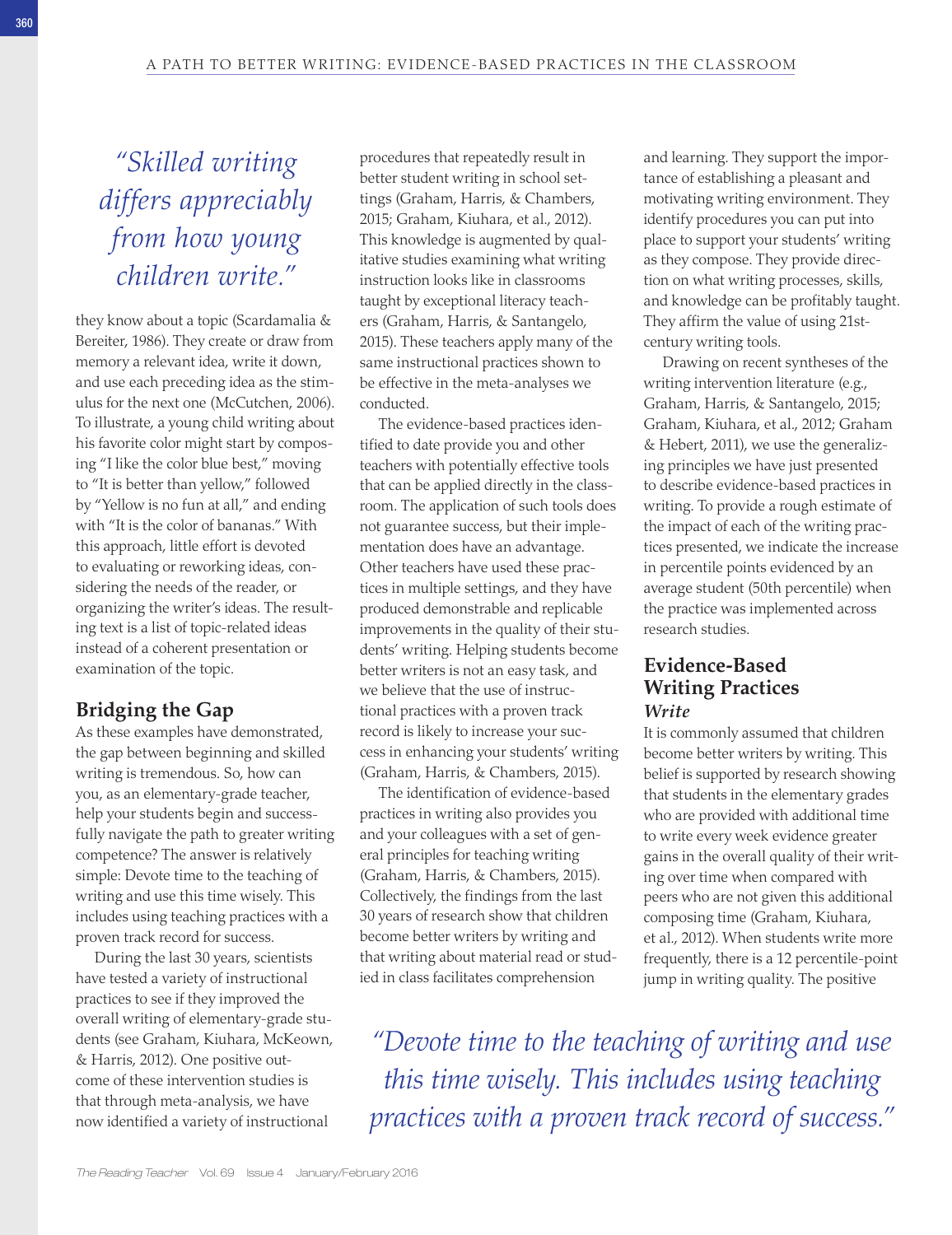*"Skilled writing differs appreciably from how young children write."*

they know about a topic (Scardamalia & Bereiter, 1986). They create or draw from memory a relevant idea, write it down, and use each preceding idea as the stimulus for the next one (McCutchen, 2006). To illustrate, a young child writing about his favorite color might start by composing "I like the color blue best," moving to "It is better than yellow," followed by "Yellow is no fun at all," and ending with "It is the color of bananas." With this approach, little effort is devoted to evaluating or reworking ideas, considering the needs of the reader, or organizing the writer's ideas. The resulting text is a list of topic-related ideas instead of a coherent presentation or examination of the topic.

## **Bridging the Gap**

As these examples have demonstrated, the gap between beginning and skilled writing is tremendous. So, how can you, as an elementary-grade teacher, help your students begin and successfully navigate the path to greater writing competence? The answer is relatively simple: Devote time to the teaching of writing and use this time wisely. This includes using teaching practices with a proven track record for success.

During the last 30 years, scientists have tested a variety of instructional practices to see if they improved the overall writing of elementary-grade students (see Graham, Kiuhara, McKeown, & Harris, 2012). One positive outcome of these intervention studies is that through meta-analysis, we have now identified a variety of instructional

procedures that repeatedly result in better student writing in school settings (Graham, Harris, & Chambers, 2015; Graham, Kiuhara, et al., 2012). This knowledge is augmented by qualitative studies examining what writing instruction looks like in classrooms taught by exceptional literacy teachers (Graham, Harris, & Santangelo, 2015). These teachers apply many of the same instructional practices shown to be effective in the meta-analyses we conducted.

The evidence-based practices identified to date provide you and other teachers with potentially effective tools that can be applied directly in the classroom. The application of such tools does not guarantee success, but their implementation does have an advantage. Other teachers have used these practices in multiple settings, and they have produced demonstrable and replicable improvements in the quality of their students' writing. Helping students become better writers is not an easy task, and we believe that the use of instructional practices with a proven track record is likely to increase your success in enhancing your students' writing (Graham, Harris, & Chambers, 2015).

The identification of evidence-based practices in writing also provides you and your colleagues with a set of general principles for teaching writing (Graham, Harris, & Chambers, 2015). Collectively, the findings from the last 30 years of research show that children become better writers by writing and that writing about material read or studied in class facilitates comprehension

and learning. They support the importance of establishing a pleasant and motivating writing environment. They identify procedures you can put into place to support your students' writing as they compose. They provide direction on what writing processes, skills, and knowledge can be profitably taught. They affirm the value of using 21stcentury writing tools.

Drawing on recent syntheses of the writing intervention literature (e.g., Graham, Harris, & Santangelo, 2015; Graham, Kiuhara, et al., 2012; Graham & Hebert, 2011), we use the generalizing principles we have just presented to describe evidence-based practices in writing. To provide a rough estimate of the impact of each of the writing practices presented, we indicate the increase in percentile points evidenced by an average student (50th percentile) when the practice was implemented across research studies.

## **Evidence-Based Writing Practices** *Write*

It is commonly assumed that children become better writers by writing. This belief is supported by research showing that students in the elementary grades who are provided with additional time to write every week evidence greater gains in the overall quality of their writing over time when compared with peers who are not given this additional composing time (Graham, Kiuhara, et al., 2012). When students write more frequently, there is a 12 percentile-point jump in writing quality. The positive

*"Devote time to the teaching of writing and use this time wisely. This includes using teaching practices with a proven track record of success."*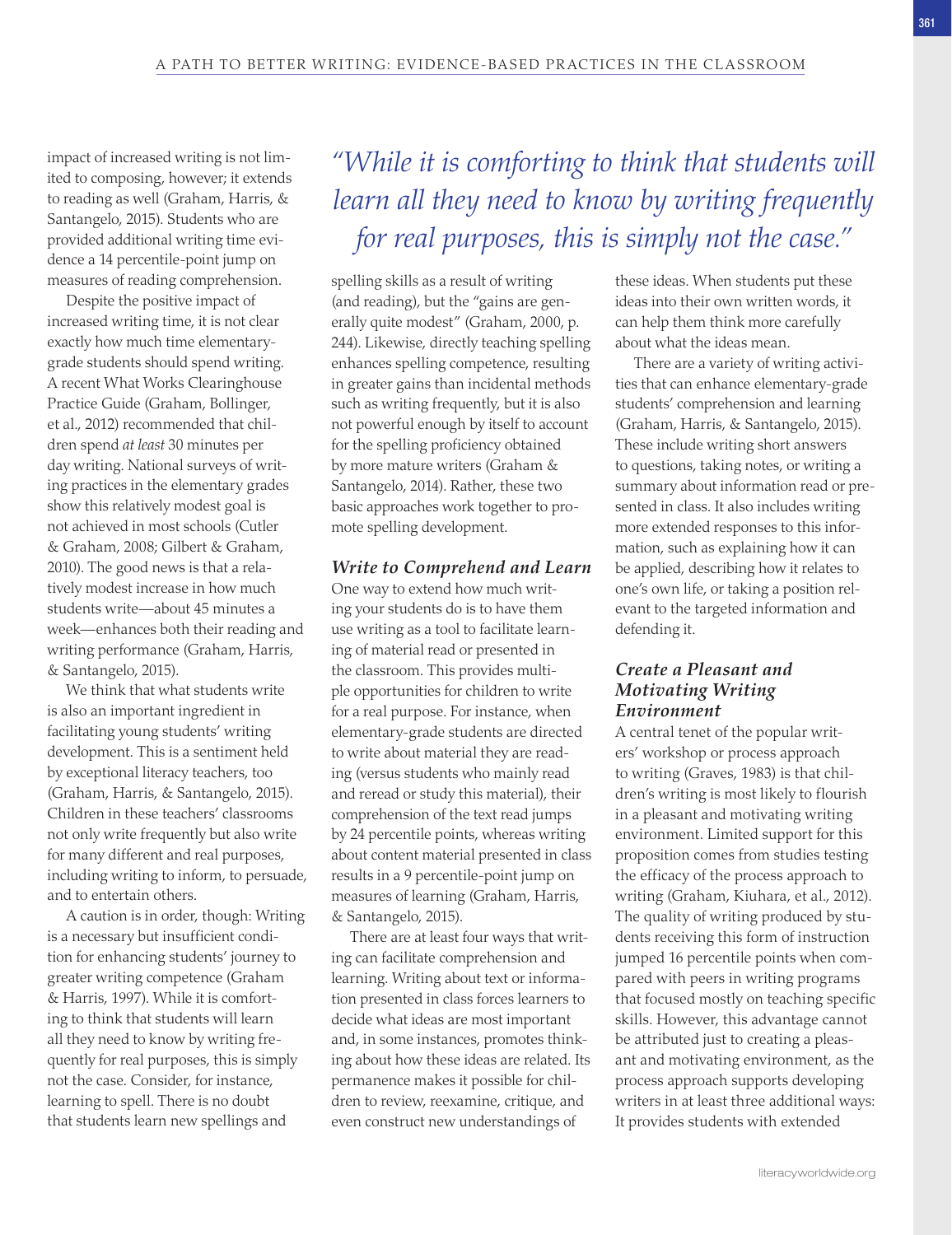impact of increased writing is not limited to composing, however; it extends to reading as well (Graham, Harris, & Santangelo, 2015). Students who are provided additional writing time evidence a 14 percentile-point jump on measures of reading comprehension.

Despite the positive impact of increased writing time, it is not clear exactly how much time elementarygrade students should spend writing. A recent What Works Clearinghouse Practice Guide (Graham, Bollinger, et al., 2012) recommended that children spend *at least* 30 minutes per day writing. National surveys of writing practices in the elementary grades show this relatively modest goal is not achieved in most schools (Cutler & Graham, 2008; Gilbert & Graham, 2010). The good news is that a relatively modest increase in how much students write—about 45 minutes a week—enhances both their reading and writing performance (Graham, Harris, & Santangelo, 2015).

We think that what students write is also an important ingredient in facilitating young students' writing development. This is a sentiment held by exceptional literacy teachers, too (Graham, Harris, & Santangelo, 2015). Children in these teachers' classrooms not only write frequently but also write for many different and real purposes, including writing to inform, to persuade, and to entertain others.

A caution is in order, though: Writing is a necessary but insufficient condition for enhancing students' journey to greater writing competence (Graham & Harris, 1997). While it is comforting to think that students will learn all they need to know by writing frequently for real purposes, this is simply not the case. Consider, for instance, learning to spell. There is no doubt that students learn new spellings and

## *"While it is comforting to think that students will learn all they need to know by writing frequently for real purposes, this is simply not the case."*

spelling skills as a result of writing (and reading), but the "gains are generally quite modest" (Graham, 2000, p. 244). Likewise, directly teaching spelling enhances spelling competence, resulting in greater gains than incidental methods such as writing frequently, but it is also not powerful enough by itself to account for the spelling proficiency obtained by more mature writers (Graham & Santangelo, 2014). Rather, these two basic approaches work together to promote spelling development.

#### *Write to Comprehend and Learn*

One way to extend how much writing your students do is to have them use writing as a tool to facilitate learning of material read or presented in the classroom. This provides multiple opportunities for children to write for a real purpose. For instance, when elementary-grade students are directed to write about material they are reading (versus students who mainly read and reread or study this material), their comprehension of the text read jumps by 24 percentile points, whereas writing about content material presented in class results in a 9 percentile-point jump on measures of learning (Graham, Harris, & Santangelo, 2015).

There are at least four ways that writing can facilitate comprehension and learning. Writing about text or information presented in class forces learners to decide what ideas are most important and, in some instances, promotes thinking about how these ideas are related. Its permanence makes it possible for children to review, reexamine, critique, and even construct new understandings of

these ideas. When students put these ideas into their own written words, it can help them think more carefully about what the ideas mean.

There are a variety of writing activities that can enhance elementary-grade students' comprehension and learning (Graham, Harris, & Santangelo, 2015). These include writing short answers to questions, taking notes, or writing a summary about information read or presented in class. It also includes writing more extended responses to this information, such as explaining how it can be applied, describing how it relates to one's own life, or taking a position relevant to the targeted information and defending it.

## *Create a Pleasant and Motivating Writing Environment*

A central tenet of the popular writers' workshop or process approach to writing (Graves, 1983) is that children's writing is most likely to flourish in a pleasant and motivating writing environment. Limited support for this proposition comes from studies testing the efficacy of the process approach to writing (Graham, Kiuhara, et al., 2012). The quality of writing produced by students receiving this form of instruction jumped 16 percentile points when compared with peers in writing programs that focused mostly on teaching specific skills. However, this advantage cannot be attributed just to creating a pleasant and motivating environment, as the process approach supports developing writers in at least three additional ways: It provides students with extended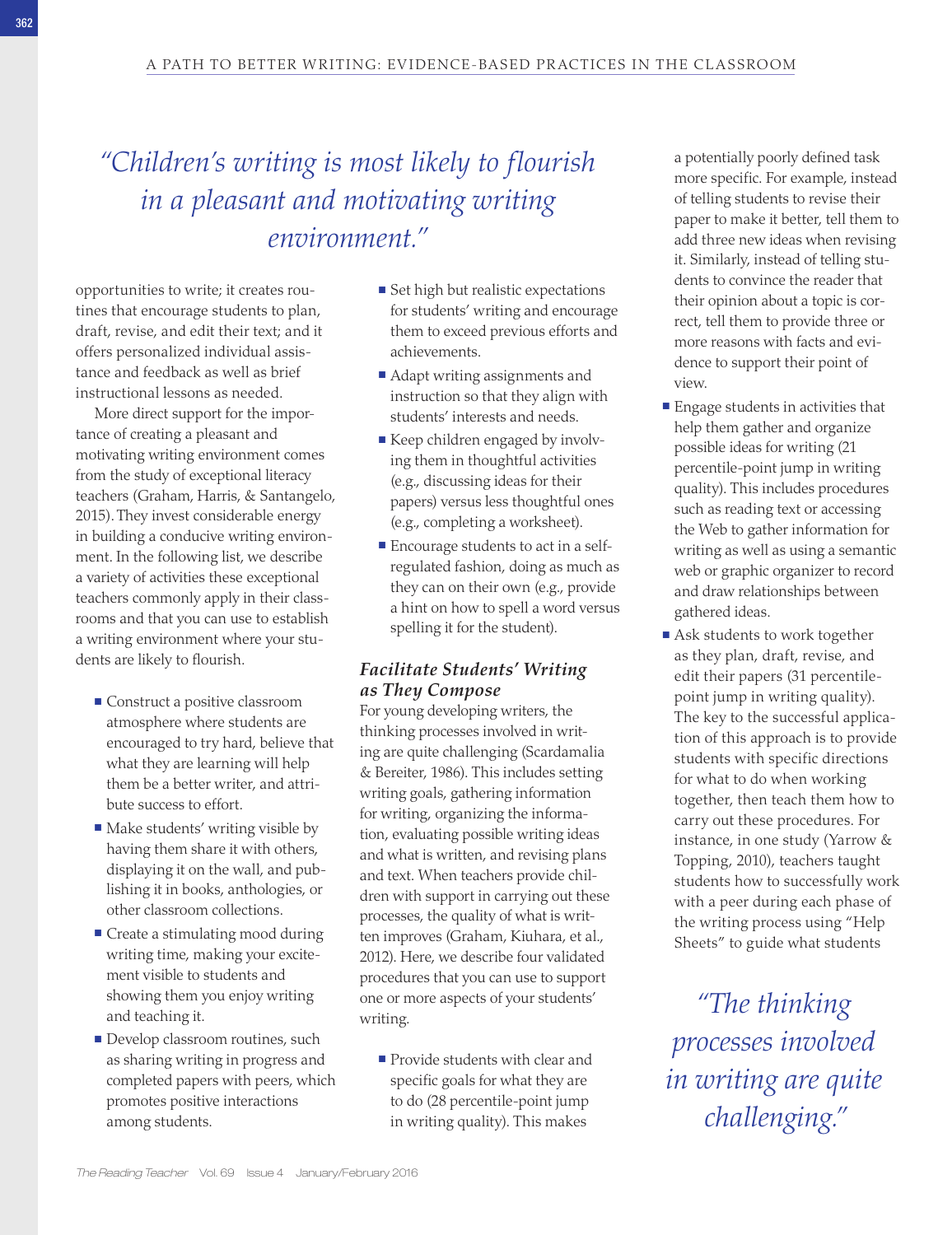## *"Children's writing is most likely to flourish in a pleasant and motivating writing environment."*

opportunities to write; it creates routines that encourage students to plan, draft, revise, and edit their text; and it offers personalized individual assistance and feedback as well as brief instructional lessons as needed.

More direct support for the importance of creating a pleasant and motivating writing environment comes from the study of exceptional literacy teachers (Graham, Harris, & Santangelo, 2015). They invest considerable energy in building a conducive writing environment. In the following list, we describe a variety of activities these exceptional teachers commonly apply in their classrooms and that you can use to establish a writing environment where your students are likely to flourish.

- Construct a positive classroom atmosphere where students are encouraged to try hard, believe that what they are learning will help them be a better writer, and attribute success to effort.
- Make students' writing visible by having them share it with others, displaying it on the wall, and publishing it in books, anthologies, or other classroom collections.
- Create a stimulating mood during writing time, making your excitement visible to students and showing them you enjoy writing and teaching it.
- Develop classroom routines, such as sharing writing in progress and completed papers with peers, which promotes positive interactions among students.
- $\blacksquare$  Set high but realistic expectations for students' writing and encourage them to exceed previous efforts and achievements.
- Adapt writing assignments and instruction so that they align with students' interests and needs.
- Keep children engaged by involving them in thoughtful activities (e.g., discussing ideas for their papers) versus less thoughtful ones (e.g., completing a worksheet).
- Encourage students to act in a selfregulated fashion, doing as much as they can on their own (e.g., provide a hint on how to spell a word versus spelling it for the student).

## *Facilitate Students' Writing as They Compose*

For young developing writers, the thinking processes involved in writing are quite challenging (Scardamalia & Bereiter, 1986). This includes setting writing goals, gathering information for writing, organizing the information, evaluating possible writing ideas and what is written, and revising plans and text. When teachers provide children with support in carrying out these processes, the quality of what is written improves (Graham, Kiuhara, et al., 2012). Here, we describe four validated procedures that you can use to support one or more aspects of your students' writing.

**Provide students with clear and** specific goals for what they are to do (28 percentile-point jump in writing quality). This makes

a potentially poorly defined task more specific. For example, instead of telling students to revise their paper to make it better, tell them to add three new ideas when revising it. Similarly, instead of telling students to convince the reader that their opinion about a topic is correct, tell them to provide three or more reasons with facts and evidence to support their point of view.

- $\blacksquare$  Engage students in activities that help them gather and organize possible ideas for writing (21 percentile-point jump in writing quality). This includes procedures such as reading text or accessing the Web to gather information for writing as well as using a semantic web or graphic organizer to record and draw relationships between gathered ideas.
- Ask students to work together as they plan, draft, revise, and edit their papers (31 percentilepoint jump in writing quality). The key to the successful application of this approach is to provide students with specific directions for what to do when working together, then teach them how to carry out these procedures. For instance, in one study (Yarrow & Topping, 2010), teachers taught students how to successfully work with a peer during each phase of the writing process using "Help Sheets" to guide what students

*"The thinking processes involved in writing are quite challenging."*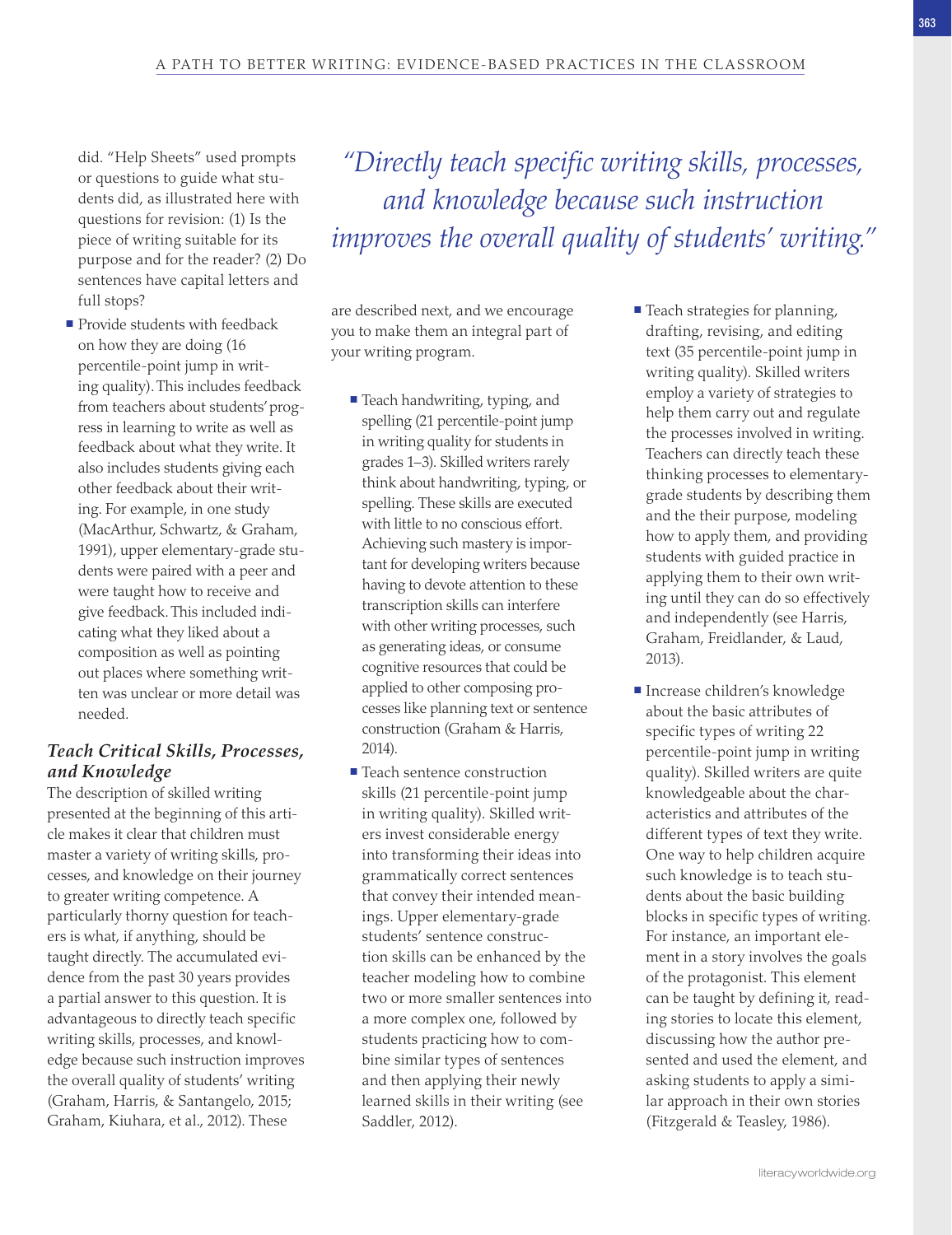did. "Help Sheets" used prompts or questions to guide what students did, as illustrated here with questions for revision: (1) Is the piece of writing suitable for its purpose and for the reader? (2) Do sentences have capital letters and full stops?

 $\blacksquare$  Provide students with feedback on how they are doing (16 percentile-point jump in writing quality). This includes feedback from teachers about students' progress in learning to write as well as feedback about what they write. It also includes students giving each other feedback about their writing. For example, in one study (MacArthur, Schwartz, & Graham, 1991), upper elementary-grade students were paired with a peer and were taught how to receive and give feedback. This included indicating what they liked about a composition as well as pointing out places where something written was unclear or more detail was needed.

## *Teach Critical Skills, Processes, and Knowledge*

The description of skilled writing presented at the beginning of this article makes it clear that children must master a variety of writing skills, processes, and knowledge on their journey to greater writing competence. A particularly thorny question for teachers is what, if anything, should be taught directly. The accumulated evidence from the past 30 years provides a partial answer to this question. It is advantageous to directly teach specific writing skills, processes, and knowledge because such instruction improves the overall quality of students' writing (Graham, Harris, & Santangelo, 2015; Graham, Kiuhara, et al., 2012). These

*"Directly teach specific writing skills, processes, and knowledge because such instruction improves the overall quality of students' writing."*

are described next, and we encourage you to make them an integral part of your writing program.

- Teach handwriting, typing, and spelling (21 percentile-point jump in writing quality for students in grades 1–3). Skilled writers rarely think about handwriting, typing, or spelling. These skills are executed with little to no conscious effort. Achieving such mastery is important for developing writers because having to devote attention to these transcription skills can interfere with other writing processes, such as generating ideas, or consume cognitive resources that could be applied to other composing processes like planning text or sentence construction (Graham & Harris, 2014).
- Teach sentence construction skills (21 percentile-point jump in writing quality). Skilled writers invest considerable energy into transforming their ideas into grammatically correct sentences that convey their intended meanings. Upper elementary-grade students' sentence construction skills can be enhanced by the teacher modeling how to combine two or more smaller sentences into a more complex one, followed by students practicing how to combine similar types of sentences and then applying their newly learned skills in their writing (see Saddler, 2012).
- $\blacksquare$  Teach strategies for planning, drafting, revising, and editing text (35 percentile-point jump in writing quality). Skilled writers employ a variety of strategies to help them carry out and regulate the processes involved in writing. Teachers can directly teach these thinking processes to elementarygrade students by describing them and the their purpose, modeling how to apply them, and providing students with guided practice in applying them to their own writing until they can do so effectively and independently (see Harris, Graham, Freidlander, & Laud, 2013).
- Increase children's knowledge about the basic attributes of specific types of writing 22 percentile-point jump in writing quality). Skilled writers are quite knowledgeable about the characteristics and attributes of the different types of text they write. One way to help children acquire such knowledge is to teach students about the basic building blocks in specific types of writing. For instance, an important element in a story involves the goals of the protagonist. This element can be taught by defining it, reading stories to locate this element, discussing how the author presented and used the element, and asking students to apply a similar approach in their own stories (Fitzgerald & Teasley, 1986).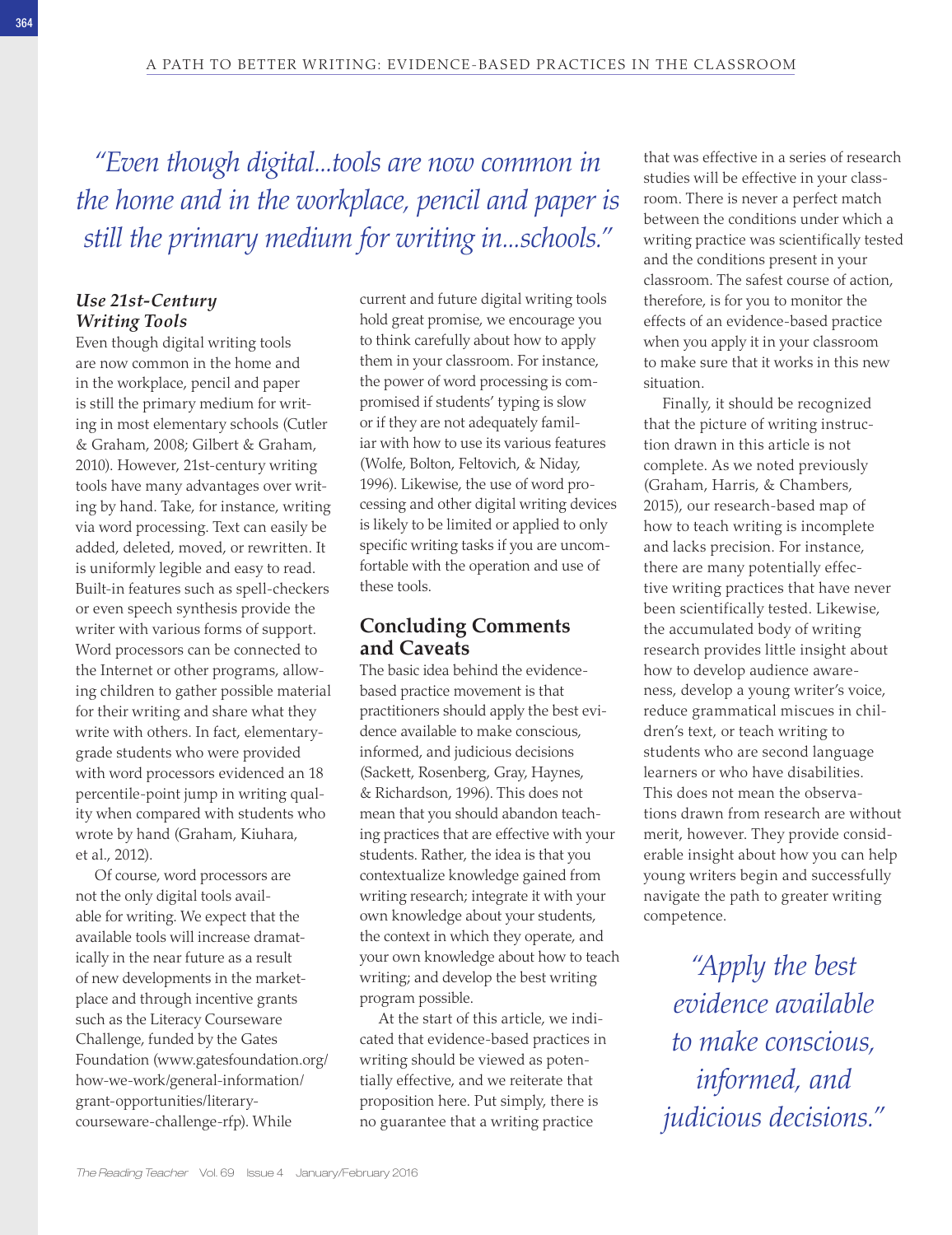*"Even though digital...tools are now common in the home and in the workplace, pencil and paper is still the primary medium for writing in...schools."*

## *Use 21st-Century Writing Tools*

Even though digital writing tools are now common in the home and in the workplace, pencil and paper is still the primary medium for writing in most elementary schools (Cutler & Graham, 2008; Gilbert & Graham, 2010). However, 21st-century writing tools have many advantages over writing by hand. Take, for instance, writing via word processing. Text can easily be added, deleted, moved, or rewritten. It is uniformly legible and easy to read. Built-in features such as spell-checkers or even speech synthesis provide the writer with various forms of support. Word processors can be connected to the Internet or other programs, allowing children to gather possible material for their writing and share what they write with others. In fact, elementarygrade students who were provided with word processors evidenced an 18 percentile-point jump in writing quality when compared with students who wrote by hand (Graham, Kiuhara, et al., 2012).

Of course, word processors are not the only digital tools available for writing. We expect that the available tools will increase dramatically in the near future as a result of new developments in the marketplace and through incentive grants such as the Literacy Courseware Challenge, funded by the Gates Foundation [\(www.gatesfoundation.org/](http://www.gatesfoundation.org/how-we-work/general-information/grant-opportunities/literary-courseware-challenge-rfp) [how-we-work/general-information/](http://www.gatesfoundation.org/how-we-work/general-information/grant-opportunities/literary-courseware-challenge-rfp) [grant-opportunities/literary](http://www.gatesfoundation.org/how-we-work/general-information/grant-opportunities/literary-courseware-challenge-rfp)[courseware-challenge-rfp\)](http://www.gatesfoundation.org/how-we-work/general-information/grant-opportunities/literary-courseware-challenge-rfp). While

current and future digital writing tools hold great promise, we encourage you to think carefully about how to apply them in your classroom. For instance, the power of word processing is compromised if students' typing is slow or if they are not adequately familiar with how to use its various features (Wolfe, Bolton, Feltovich, & Niday, 1996). Likewise, the use of word processing and other digital writing devices is likely to be limited or applied to only specific writing tasks if you are uncomfortable with the operation and use of these tools.

## **Concluding Comments and Caveats**

The basic idea behind the evidencebased practice movement is that practitioners should apply the best evidence available to make conscious, informed, and judicious decisions (Sackett, Rosenberg, Gray, Haynes, & Richardson, 1996). This does not mean that you should abandon teaching practices that are effective with your students. Rather, the idea is that you contextualize knowledge gained from writing research; integrate it with your own knowledge about your students, the context in which they operate, and your own knowledge about how to teach writing; and develop the best writing program possible.

At the start of this article, we indicated that evidence-based practices in writing should be viewed as potentially effective, and we reiterate that proposition here. Put simply, there is no guarantee that a writing practice

that was effective in a series of research studies will be effective in your classroom. There is never a perfect match between the conditions under which a writing practice was scientifically tested and the conditions present in your classroom. The safest course of action, therefore, is for you to monitor the effects of an evidence-based practice when you apply it in your classroom to make sure that it works in this new situation.

Finally, it should be recognized that the picture of writing instruction drawn in this article is not complete. As we noted previously (Graham, Harris, & Chambers, 2015), our research-based map of how to teach writing is incomplete and lacks precision. For instance, there are many potentially effective writing practices that have never been scientifically tested. Likewise, the accumulated body of writing research provides little insight about how to develop audience awareness, develop a young writer's voice, reduce grammatical miscues in children's text, or teach writing to students who are second language learners or who have disabilities. This does not mean the observations drawn from research are without merit, however. They provide considerable insight about how you can help young writers begin and successfully navigate the path to greater writing competence.

*"Apply the best evidence available to make conscious, informed, and judicious decisions."*